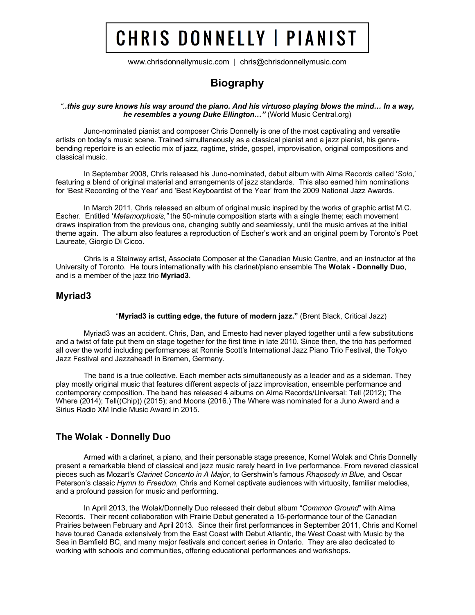# CHRIS DONNELLY | PIANIST

www.chrisdonnellymusic.com | chris@chrisdonnellymusic.com

## **Biography**

#### *"..this guy sure knows his way around the piano. And his virtuoso playing blows the mind… In a way, he resembles a young Duke Ellington…"* (World Music Central.org)

Juno-nominated pianist and composer Chris Donnelly is one of the most captivating and versatile artists on today's music scene. Trained simultaneously as a classical pianist and a jazz pianist, his genrebending repertoire is an eclectic mix of jazz, ragtime, stride, gospel, improvisation, original compositions and classical music.

In September 2008, Chris released his Juno-nominated, debut album with Alma Records called '*Solo*,' featuring a blend of original material and arrangements of jazz standards. This also earned him nominations for 'Best Recording of the Year' and 'Best Keyboardist of the Year' from the 2009 National Jazz Awards.

In March 2011, Chris released an album of original music inspired by the works of graphic artist M.C. Escher. Entitled '*Metamorphosis,"* the 50-minute composition starts with a single theme; each movement draws inspiration from the previous one, changing subtly and seamlessly, until the music arrives at the initial theme again. The album also features a reproduction of Escher's work and an original poem by Toronto's Poet Laureate, Giorgio Di Cicco.

Chris is a Steinway artist, Associate Composer at the Canadian Music Centre, and an instructor at the University of Toronto. He tours internationally with his clarinet/piano ensemble The **Wolak - Donnelly Duo**, and is a member of the jazz trio **Myriad3**.

### **Myriad3**

#### "**Myriad3 is cutting edge, the future of modern jazz."** (Brent Black, Critical Jazz)

Myriad3 was an accident. Chris, Dan, and Ernesto had never played together until a few substitutions and a twist of fate put them on stage together for the first time in late 2010. Since then, the trio has performed all over the world including performances at Ronnie Scott's International Jazz Piano Trio Festival, the Tokyo Jazz Festival and Jazzahead! in Bremen, Germany.

The band is a true collective. Each member acts simultaneously as a leader and as a sideman. They play mostly original music that features different aspects of jazz improvisation, ensemble performance and contemporary composition. The band has released 4 albums on Alma Records/Universal: Tell (2012); The Where (2014); Tell((Chip)) (2015); and Moons (2016.) The Where was nominated for a Juno Award and a Sirius Radio XM Indie Music Award in 2015.

### **The Wolak - Donnelly Duo**

Armed with a clarinet, a piano, and their personable stage presence, Kornel Wolak and Chris Donnelly present a remarkable blend of classical and jazz music rarely heard in live performance. From revered classical pieces such as Mozart's *Clarinet Concerto in A Major*, to Gershwin's famous *Rhapsody in Blue*, and Oscar Peterson's classic *Hymn to Freedom*, Chris and Kornel captivate audiences with virtuosity, familiar melodies, and a profound passion for music and performing.

In April 2013, the Wolak/Donnelly Duo released their debut album "*Common Ground*" with Alma Records. Their recent collaboration with Prairie Debut generated a 15-performance tour of the Canadian Prairies between February and April 2013. Since their first performances in September 2011, Chris and Kornel have toured Canada extensively from the East Coast with Debut Atlantic, the West Coast with Music by the Sea in Bamfield BC, and many major festivals and concert series in Ontario. They are also dedicated to working with schools and communities, offering educational performances and workshops.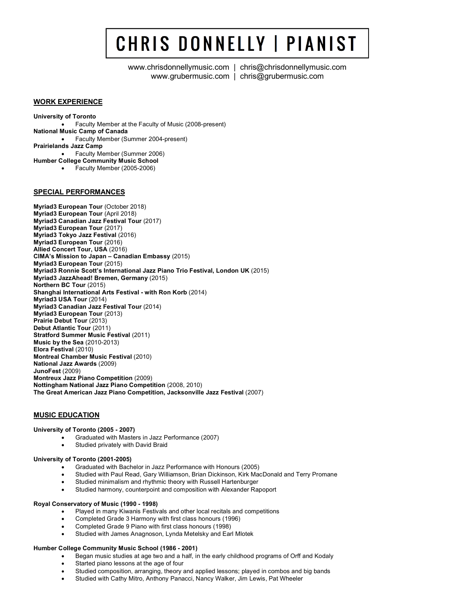# CHRIS DONNELLY | PIANIST

www.chrisdonnellymusic.com | chris@chrisdonnellymusic.com www.grubermusic.com | chris@grubermusic.com

#### **WORK EXPERIENCE**

**University of Toronto** • Faculty Member at the Faculty of Music (2008-present) **National Music Camp of Canada** • Faculty Member (Summer 2004-present) **Prairielands Jazz Camp** • Faculty Member (Summer 2006) **Humber College Community Music School** • Faculty Member (2005-2006)

#### **SPECIAL PERFORMANCES**

**Myriad3 European Tour** (October 2018) **Myriad3 European Tour** (April 2018) **Myriad3 Canadian Jazz Festival Tour** (2017) **Myriad3 European Tour** (2017) **Myriad3 Tokyo Jazz Festival** (2016) **Myriad3 European Tour** (2016) **Allied Concert Tour, USA** (2016) **CIMA's Mission to Japan – Canadian Embassy** (2015) **Myriad3 European Tour** (2015) **Myriad3 Ronnie Scott's International Jazz Piano Trio Festival, London UK** (2015) **Myriad3 JazzAhead! Bremen, Germany** (2015) **Northern BC Tour** (2015) **Shanghai International Arts Festival - with Ron Korb** (2014) **Myriad3 USA Tour** (2014) **Myriad3 Canadian Jazz Festival Tour** (2014) **Myriad3 European Tour** (2013) **Prairie Debut Tour** (2013) **Debut Atlantic Tour** (2011) **Stratford Summer Music Festival** (2011) **Music by the Sea** (2010-2013) **Elora Festival** (2010) **Montreal Chamber Music Festival** (2010) **National Jazz Awards** (2009) **JunoFest** (2009) **Montreux Jazz Piano Competition** (2009) **Nottingham National Jazz Piano Competition** (2008, 2010) **The Great American Jazz Piano Competition, Jacksonville Jazz Festival** (2007)

#### **MUSIC EDUCATION**

#### **University of Toronto (2005 - 2007)**

- Graduated with Masters in Jazz Performance (2007)
- Studied privately with David Braid

#### **University of Toronto (2001-2005)**

- Graduated with Bachelor in Jazz Performance with Honours (2005)
- Studied with Paul Read, Gary Williamson, Brian Dickinson, Kirk MacDonald and Terry Promane
- Studied minimalism and rhythmic theory with Russell Hartenburger
- Studied harmony, counterpoint and composition with Alexander Rapoport

#### **Royal Conservatory of Music (1990 - 1998)**

- Played in many Kiwanis Festivals and other local recitals and competitions
- Completed Grade 3 Harmony with first class honours (1996)
- Completed Grade 9 Piano with first class honours (1998)
- Studied with James Anagnoson, Lynda Metelsky and Earl Mlotek

#### **Humber College Community Music School (1986 - 2001)**

- Began music studies at age two and a half, in the early childhood programs of Orff and Kodaly
- Started piano lessons at the age of four
- Studied composition, arranging, theory and applied lessons; played in combos and big bands
- Studied with Cathy Mitro, Anthony Panacci, Nancy Walker, Jim Lewis, Pat Wheeler